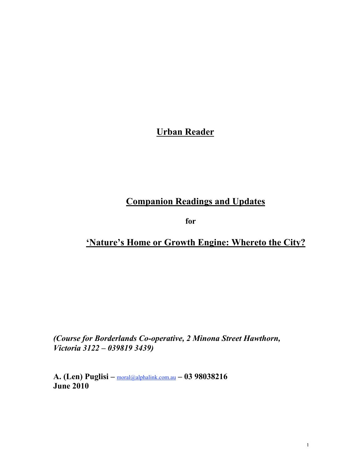# Urban Reader

# Companion Readings and Updates

for

### 'Nature's Home or Growth Engine: Whereto the City?

*(Course for Borderlands Co-operative, 2 Minona Street Hawthorn, Victoria 3122 – 039819 3439)*

A. (Len) Puglisi – moral@alphalink.com.au – 03 98038216 June 2010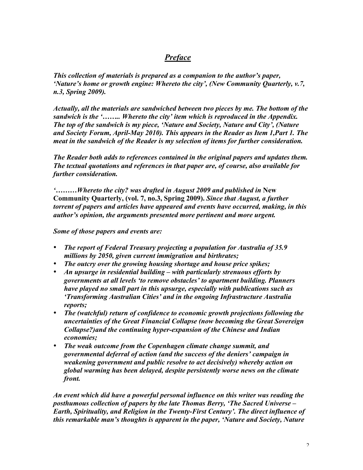#### *Preface*

*This collection of materials is prepared as a companion to the author's paper, 'Nature's home or growth engine: Whereto the city', (New Community Quarterly, v.7, n.3, Spring 2009).*

*Actually, all the materials are sandwiched between two pieces by me. The bottom of the sandwich is the '…….. Whereto the city' item which is reproduced in the Appendix. The top of the sandwich is my piece, 'Nature and Society, Nature and City', (Nature and Society Forum, April-May 2010). This appears in the Reader as Item 1,Part 1. The meat in the sandwich of the Reader is my selection of items for further consideration.*

*The Reader both adds to references contained in the original papers and updates them. The textual quotations and references in that paper are, of course, also available for further consideration.*

*'………Whereto the city? was drafted in August 2009 and published in* New Community Quarterly, (vol. 7, no.3, Spring 2009). *Since that August, a further torrent of papers and articles have appeared and events have occurred, making, in this author's opinion, the arguments presented more pertinent and more urgent.*

*Some of those papers and events are:*

- *The report of Federal Treasury projecting a population for Australia of 35.9 millions by 2050, given current immigration and birthrates;*
- *The outcry over the growing housing shortage and house price spikes;*
- *An upsurge in residential building with particularly strenuous efforts by governments at all levels 'to remove obstacles' to apartment building. Planners have played no small part in this upsurge, especially with publications such as 'Transforming Australian Cities' and in the ongoing Infrastructure Australia reports;*
- *The (watchful) return of confidence to economic growth projections following the uncertainties of the Great Financial Collapse (now becoming the Great Sovereign Collapse?)and the continuing hyper-expansion of the Chinese and Indian economies;*
- *The weak outcome from the Copenhagen climate change summit, and governmental deferral of action (and the success of the deniers' campaign in weakening government and public resolve to act decisively) whereby action on global warming has been delayed, despite persistently worse news on the climate front.*

*An event which did have a powerful personal influence on this writer was reading the posthumous collection of papers by the late Thomas Berry, 'The Sacred Universe – Earth, Spirituality, and Religion in the Twenty-First Century'. The direct influence of this remarkable man's thoughts is apparent in the paper, 'Nature and Society, Nature*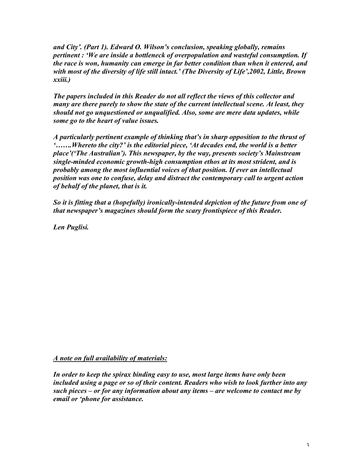*and City'. (Part 1). Edward O. Wilson's conclusion, speaking globally, remains pertinent : 'We are inside a bottleneck of overpopulation and wasteful consumption. If the race is won, humanity can emerge in far better condition than when it entered, and with most of the diversity of life still intact.' (The Diversity of Life',2002, Little, Brown xxiii.)*

*The papers included in this Reader do not all reflect the views of this collector and many are there purely to show the state of the current intellectual scene. At least, they should not go unquestioned or unqualified. Also, some are mere data updates, while some go to the heart of value issues.*

*A particularly pertinent example of thinking that's in sharp opposition to the thrust of '…….Whereto the city?' is the editorial piece, 'At decades end, the world is a better place'('The Australian'). This newspaper, by the way, presents society's Mainstream single-minded economic growth-high consumption ethos at its most strident, and is probably among the most influential voices of that position. If ever an intellectual position was one to confuse, delay and distract the contemporary call to urgent action of behalf of the planet, that is it.*

*So it is fitting that a (hopefully) ironically-intended depiction of the future from one of that newspaper's magazines should form the scary frontispiece of this Reader.*

*Len Puglisi.*

#### *A note on full availability of materials:*

*In order to keep the spirax binding easy to use, most large items have only been included using a page or so of their content. Readers who wish to look further into any such pieces – or for any information about any items – are welcome to contact me by email or 'phone for assistance.*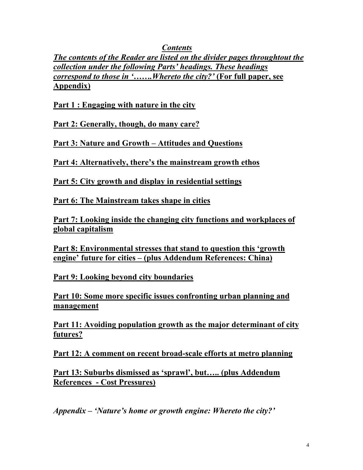*Contents*

*The contents of the Reader are listed on the divider pages throughtout the collection under the following Parts' headings. These headings correspond to those in '.......Whereto the city?'* (For full paper, see Appendix)

Part 1 : Engaging with nature in the city

Part 2: Generally, though, do many care?

Part 3: Nature and Growth – Attitudes and Questions

Part 4: Alternatively, there's the mainstream growth ethos

Part 5: City growth and display in residential settings

Part 6: The Mainstream takes shape in cities

Part 7: Looking inside the changing city functions and workplaces of global capitalism

Part 8: Environmental stresses that stand to question this 'growth engine' future for cities – (plus Addendum References: China)

Part 9: Looking beyond city boundaries

Part 10: Some more specific issues confronting urban planning and management

Part 11: Avoiding population growth as the major determinant of city futures?

Part 12: A comment on recent broad-scale efforts at metro planning

Part 13: Suburbs dismissed as 'sprawl', but….. (plus Addendum References - Cost Pressures)

*Appendix – 'Nature's home or growth engine: Whereto the city?'*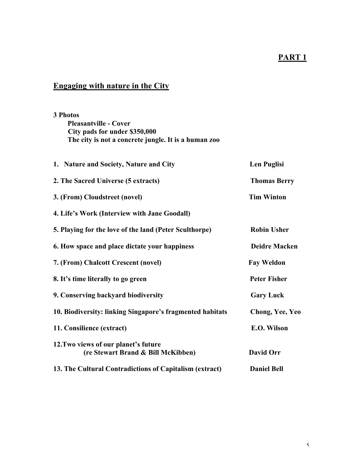### PART<sub>1</sub>

## Engaging with nature in the City

### 3 Photos Pleasantville - Cover City pads for under \$350,000 The city is not a concrete jungle. It is a human zoo

| 1. Nature and Society, Nature and City                                     | <b>Len Puglisi</b>   |
|----------------------------------------------------------------------------|----------------------|
| 2. The Sacred Universe (5 extracts)                                        | <b>Thomas Berry</b>  |
| 3. (From) Cloudstreet (novel)                                              | <b>Tim Winton</b>    |
| 4. Life's Work (Interview with Jane Goodall)                               |                      |
| 5. Playing for the love of the land (Peter Sculthorpe)                     | <b>Robin Usher</b>   |
| 6. How space and place dictate your happiness                              | <b>Deidre Macken</b> |
| 7. (From) Chalcott Crescent (novel)                                        | <b>Fay Weldon</b>    |
| 8. It's time literally to go green                                         | <b>Peter Fisher</b>  |
| 9. Conserving backyard biodiversity                                        | <b>Gary Luck</b>     |
| 10. Biodiversity: linking Singapore's fragmented habitats                  | Chong, Yee, Yeo      |
| 11. Consilience (extract)                                                  | E.O. Wilson          |
| 12. Two views of our planet's future<br>(re Stewart Brand & Bill McKibben) | David Orr            |
| 13. The Cultural Contradictions of Capitalism (extract)                    | <b>Daniel Bell</b>   |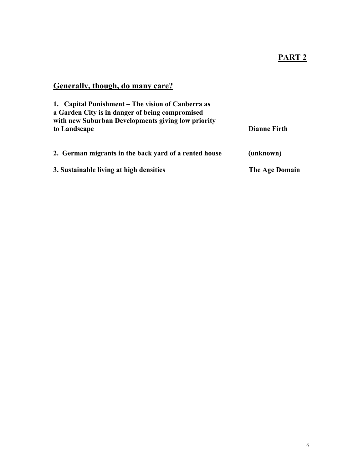## Generally, though, do many care?

| 1. Capital Punishment – The vision of Canberra as<br>a Garden City is in danger of being compromised<br>with new Suburban Developments giving low priority |                     |  |
|------------------------------------------------------------------------------------------------------------------------------------------------------------|---------------------|--|
| to Landscape                                                                                                                                               | <b>Dianne Firth</b> |  |
| 2. German migrants in the back yard of a rented house                                                                                                      | (unknown)           |  |
| 3. Sustainable living at high densities                                                                                                                    | The Age Domain      |  |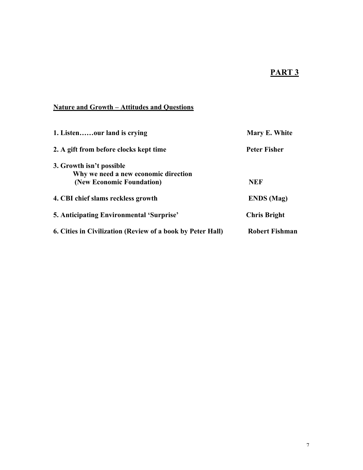### PART<sub>3</sub>

#### Nature and Growth – Attitudes and Questions

| 1. Listenour land is crying                                | Mary E. White         |
|------------------------------------------------------------|-----------------------|
| 2. A gift from before clocks kept time                     | Peter Fisher          |
| 3. Growth isn't possible                                   |                       |
| Why we need a new economic direction                       |                       |
| (New Economic Foundation)                                  | <b>NEF</b>            |
| 4. CBI chief slams reckless growth                         | <b>ENDS</b> (Mag)     |
| <b>5. Anticipating Environmental 'Surprise'</b>            | <b>Chris Bright</b>   |
| 6. Cities in Civilization (Review of a book by Peter Hall) | <b>Robert Fishman</b> |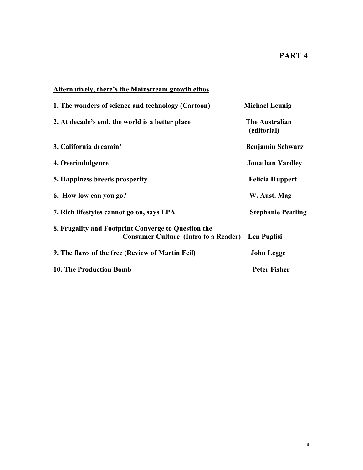### PART<sub>4</sub>

#### Alternatively, there's the Mainstream growth ethos

| 1. The wonders of science and technology (Cartoon)                                                             | <b>Michael Leunig</b>                |
|----------------------------------------------------------------------------------------------------------------|--------------------------------------|
| 2. At decade's end, the world is a better place                                                                | <b>The Australian</b><br>(editorial) |
| 3. California dreamin'                                                                                         | <b>Benjamin Schwarz</b>              |
| 4. Overindulgence                                                                                              | <b>Jonathan Yardley</b>              |
| 5. Happiness breeds prosperity                                                                                 | <b>Felicia Huppert</b>               |
| 6. How low can you go?                                                                                         | W. Aust. Mag                         |
| 7. Rich lifestyles cannot go on, says EPA                                                                      | <b>Stephanie Peatling</b>            |
| 8. Frugality and Footprint Converge to Question the<br><b>Consumer Culture (Intro to a Reader)</b> Len Puglisi |                                      |
| 9. The flaws of the free (Review of Martin Feil)                                                               | <b>John Legge</b>                    |
| <b>10. The Production Bomb</b>                                                                                 | <b>Peter Fisher</b>                  |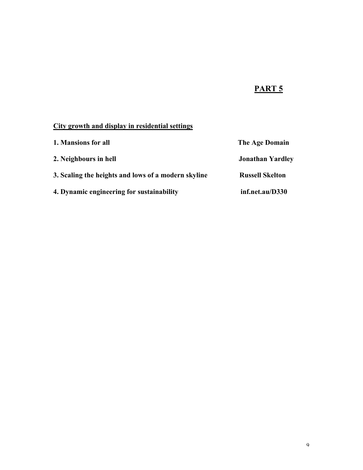## PART<sub>5</sub>

## City growth and display in residential settings

| 1. Mansions for all                                 | The Age Domain          |  |
|-----------------------------------------------------|-------------------------|--|
| 2. Neighbours in hell                               | <b>Jonathan Yardley</b> |  |
| 3. Scaling the heights and lows of a modern skyline | <b>Russell Skelton</b>  |  |
| 4. Dynamic engineering for sustainability           | inf.net.au/D330         |  |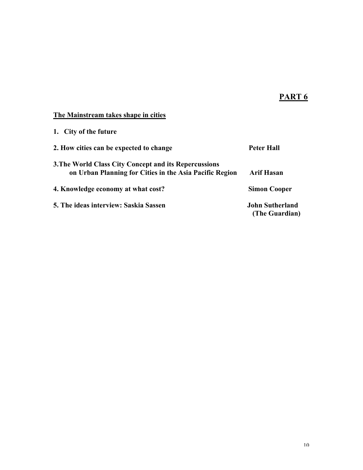### PART<sub>6</sub>

#### The Mainstream takes shape in cities

| 1. City of the future                                                                                            |                                          |
|------------------------------------------------------------------------------------------------------------------|------------------------------------------|
| 2. How cities can be expected to change                                                                          | Peter Hall                               |
| 3. The World Class City Concept and its Repercussions<br>on Urban Planning for Cities in the Asia Pacific Region | <b>Arif Hasan</b>                        |
| 4. Knowledge economy at what cost?                                                                               | <b>Simon Cooper</b>                      |
| 5. The ideas interview: Saskia Sassen                                                                            | <b>John Sutherland</b><br>(The Guardian) |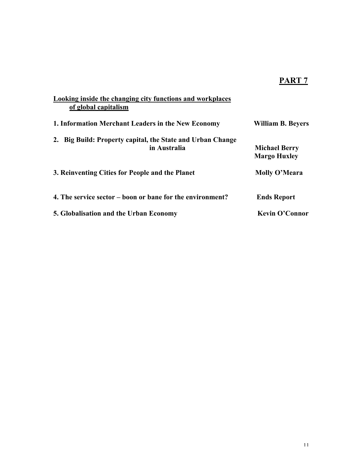## PART<sub>7</sub>

| Looking inside the changing city functions and workplaces<br>of global capitalism |                                             |
|-----------------------------------------------------------------------------------|---------------------------------------------|
| 1. Information Merchant Leaders in the New Economy                                | <b>William B. Beyers</b>                    |
| 2. Big Build: Property capital, the State and Urban Change<br>in Australia        | <b>Michael Berry</b><br><b>Margo Huxley</b> |
| 3. Reinventing Cities for People and the Planet                                   | Molly O'Meara                               |
| 4. The service sector – boon or bane for the environment?                         | <b>Ends Report</b>                          |
| 5. Globalisation and the Urban Economy                                            | Kevin O'Connor                              |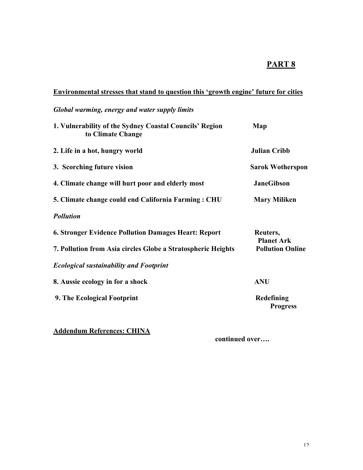### PART<sup>8</sup>

#### Environmental stresses that stand to question this 'growth engine' future for cities

### *Global warming, energy and water supply limits*

| 1. Vulnerability of the Sydney Coastal Councils' Region<br>to Climate Change | Map                           |
|------------------------------------------------------------------------------|-------------------------------|
| 2. Life in a hot, hungry world                                               | <b>Julian Cribb</b>           |
| 3. Scorching future vision                                                   | <b>Sarok Wotherspon</b>       |
| 4. Climate change will hurt poor and elderly most                            | <b>JaneGibson</b>             |
| 5. Climate change could end California Farming: CHU                          | <b>Mary Miliken</b>           |
| <b>Pollution</b>                                                             |                               |
| <b>6. Stronger Evidence Pollution Damages Heart: Report</b>                  | Reuters,<br><b>Planet Ark</b> |
| 7. Pollution from Asia circles Globe a Stratospheric Heights                 | <b>Pollution Online</b>       |
| <b>Ecological sustainability and Footprint</b>                               |                               |
| 8. Aussie ecology in for a shock                                             | <b>ANU</b>                    |
| 9. The Ecological Footprint                                                  | Redefining<br><b>Progress</b> |

#### Addendum References: CHINA

continued over….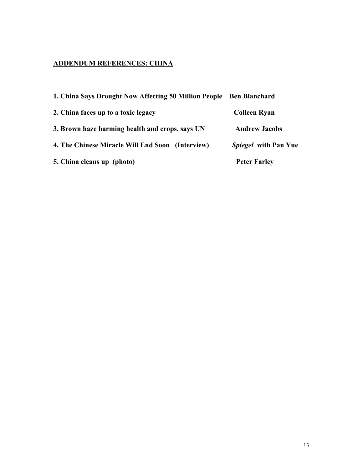#### ADDENDUM REFERENCES: CHINA

| 1. China Says Drought Now Affecting 50 Million People Ben Blanchard |                             |
|---------------------------------------------------------------------|-----------------------------|
| 2. China faces up to a toxic legacy                                 | <b>Colleen Ryan</b>         |
| 3. Brown haze harming health and crops, says UN                     | <b>Andrew Jacobs</b>        |
| 4. The Chinese Miracle Will End Soon (Interview)                    | <i>Spiegel</i> with Pan Yue |
| 5. China cleans up (photo)                                          | <b>Peter Farley</b>         |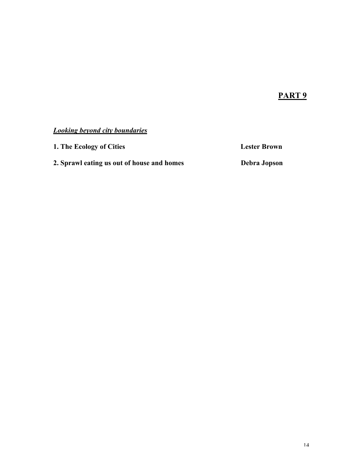### PART<sub>9</sub>

#### *Looking beyond city boundaries*

1. The Ecology of Cities **Lester Brown** 2. Sprawl eating us out of house and homes Debra Jopson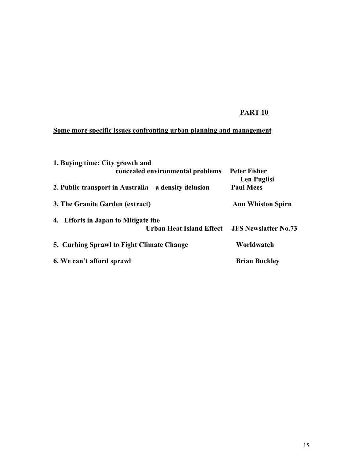#### Some more specific issues confronting urban planning and management

| 1. Buying time: City growth and                         |                                    |
|---------------------------------------------------------|------------------------------------|
| concealed environmental problems                        | <b>Peter Fisher</b><br>Len Puglisi |
| 2. Public transport in Australia $-$ a density delusion | <b>Paul Mees</b>                   |
| 3. The Granite Garden (extract)                         | <b>Ann Whiston Spirn</b>           |
| 4. Efforts in Japan to Mitigate the                     |                                    |
| <b>Urban Heat Island Effect</b>                         | <b>JFS Newslatter No.73</b>        |
| 5. Curbing Sprawl to Fight Climate Change               | Worldwatch                         |
| 6. We can't afford sprawl                               | <b>Brian Buckley</b>               |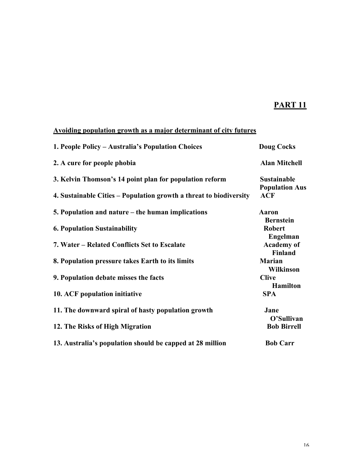#### Avoiding population growth as a major determinant of city futures

| 1. People Policy – Australia's Population Choices                  | <b>Doug Cocks</b>                           |
|--------------------------------------------------------------------|---------------------------------------------|
| 2. A cure for people phobia                                        | <b>Alan Mitchell</b>                        |
| 3. Kelvin Thomson's 14 point plan for population reform            | <b>Sustainable</b><br><b>Population Aus</b> |
| 4. Sustainable Cities – Population growth a threat to biodiversity | <b>ACF</b>                                  |
| 5. Population and nature – the human implications                  | <b>Aaron</b><br><b>Bernstein</b>            |
| <b>6. Population Sustainability</b>                                | <b>Robert</b><br><b>Engelman</b>            |
| 7. Water – Related Conflicts Set to Escalate                       | <b>Academy</b> of<br><b>Finland</b>         |
| 8. Population pressure takes Earth to its limits                   | <b>Marian</b><br><b>Wilkinson</b>           |
| 9. Population debate misses the facts                              | <b>Clive</b><br><b>Hamilton</b>             |
| 10. ACF population initiative                                      | <b>SPA</b>                                  |
| 11. The downward spiral of hasty population growth                 | Jane<br>O'Sullivan                          |
| 12. The Risks of High Migration                                    | <b>Bob Birrell</b>                          |
| 13. Australia's population should be capped at 28 million          | <b>Bob Carr</b>                             |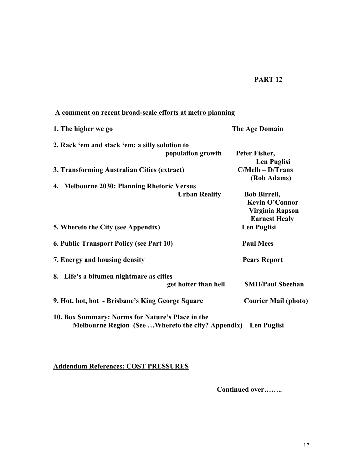#### A comment on recent broad-scale efforts at metro planning

| 1. The higher we go                                                                                               | The Age Domain                                                                          |
|-------------------------------------------------------------------------------------------------------------------|-----------------------------------------------------------------------------------------|
| 2. Rack 'em and stack 'em: a silly solution to                                                                    |                                                                                         |
| population growth                                                                                                 | Peter Fisher,<br>Len Puglisi                                                            |
| 3. Transforming Australian Cities (extract)                                                                       | $C/Melb - D/Trans$<br>(Rob Adams)                                                       |
| 4. Melbourne 2030: Planning Rhetoric Versus                                                                       |                                                                                         |
| <b>Urban Reality</b>                                                                                              | <b>Bob Birrell,</b><br><b>Kevin O'Connor</b><br>Virginia Rapson<br><b>Earnest Healy</b> |
| 5. Whereto the City (see Appendix)                                                                                | <b>Len Puglisi</b>                                                                      |
| 6. Public Transport Policy (see Part 10)                                                                          | <b>Paul Mees</b>                                                                        |
| 7. Energy and housing density                                                                                     | <b>Pears Report</b>                                                                     |
| 8. Life's a bitumen nightmare as cities<br>get hotter than hell                                                   | <b>SMH/Paul Sheehan</b>                                                                 |
| 9. Hot, hot, hot - Brisbane's King George Square                                                                  | <b>Courier Mail (photo)</b>                                                             |
| 10. Box Summary: Norms for Nature's Place in the<br>Melbourne Region (See Whereto the city? Appendix) Len Puglisi |                                                                                         |

Addendum References: COST PRESSURES

Continued over……..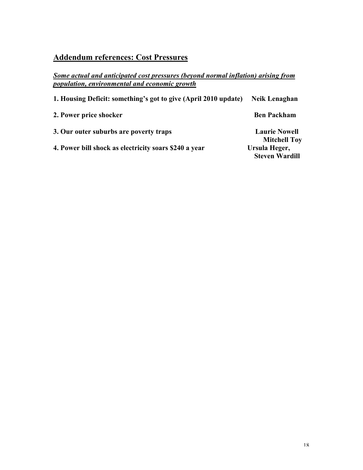## Addendum references: Cost Pressures

*Some actual and anticipated cost pressures (beyond normal inflation) arising from population, environmental and economic growth*

| 1. Housing Deficit: something's got to give (April 2010 update) | <b>Neik Lenaghan</b>                 |
|-----------------------------------------------------------------|--------------------------------------|
| 2. Power price shocker                                          | <b>Ben Packham</b>                   |
| 3. Our outer suburbs are poverty traps                          | <b>Laurie Nowell</b>                 |
| 4. Power bill shock as electricity soars \$240 a vear           | <b>Mitchell Toy</b><br>Ursula Heger, |
|                                                                 | <b>Steven Wardill</b>                |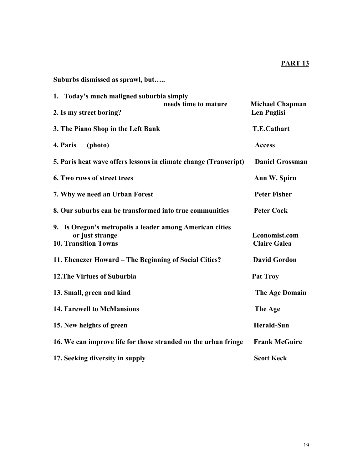### Suburbs dismissed as sprawl, but…..

| 1. Today's much maligned suburbia simply                                                                   |                      |                                              |
|------------------------------------------------------------------------------------------------------------|----------------------|----------------------------------------------|
| 2. Is my street boring?                                                                                    | needs time to mature | <b>Michael Chapman</b><br><b>Len Puglisi</b> |
| 3. The Piano Shop in the Left Bank                                                                         |                      | <b>T.E.Cathart</b>                           |
| 4. Paris<br>(photo)                                                                                        |                      | <b>Access</b>                                |
| 5. Paris heat wave offers lessons in climate change (Transcript)                                           |                      | <b>Daniel Grossman</b>                       |
| 6. Two rows of street trees                                                                                |                      | Ann W. Spirn                                 |
| 7. Why we need an Urban Forest                                                                             |                      | <b>Peter Fisher</b>                          |
| 8. Our suburbs can be transformed into true communities                                                    |                      | <b>Peter Cock</b>                            |
| 9. Is Oregon's metropolis a leader among American cities<br>or just strange<br><b>10. Transition Towns</b> |                      | Economist.com<br><b>Claire Galea</b>         |
| 11. Ebenezer Howard – The Beginning of Social Cities?                                                      |                      | <b>David Gordon</b>                          |
| <b>12. The Virtues of Suburbia</b>                                                                         |                      | <b>Pat Troy</b>                              |
| 13. Small, green and kind                                                                                  |                      | <b>The Age Domain</b>                        |
| <b>14. Farewell to McMansions</b>                                                                          |                      | The Age                                      |
| 15. New heights of green                                                                                   |                      | <b>Herald-Sun</b>                            |
| 16. We can improve life for those stranded on the urban fringe                                             |                      | <b>Frank McGuire</b>                         |
| 17. Seeking diversity in supply                                                                            |                      | <b>Scott Keck</b>                            |